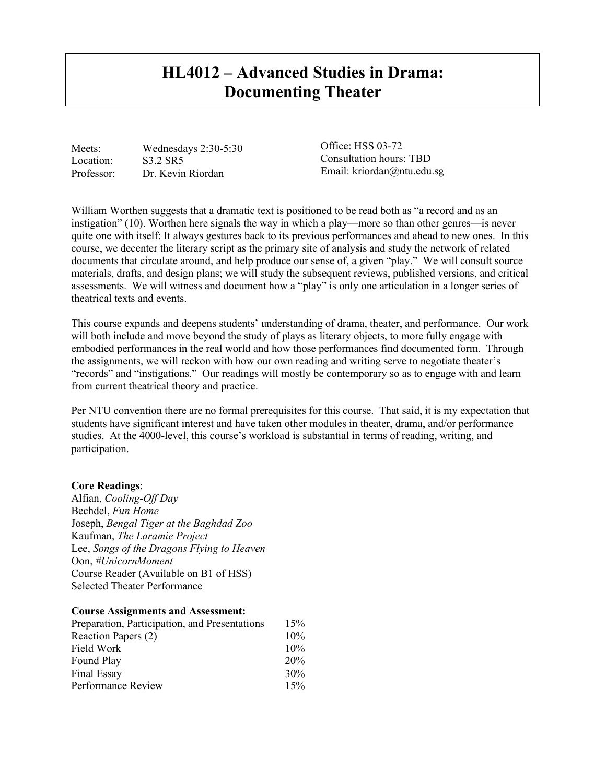# **HL4012 – Advanced Studies in Drama: Documenting Theater**

Meets: Wednesdays 2:30-5:30 Location: S3.2 SR5 Professor: Dr. Kevin Riordan

Office: HSS 03-72 Consultation hours: TBD Email: kriordan@ntu.edu.sg

William Worthen suggests that a dramatic text is positioned to be read both as "a record and as an instigation" (10). Worthen here signals the way in which a play—more so than other genres—is never quite one with itself: It always gestures back to its previous performances and ahead to new ones. In this course, we decenter the literary script as the primary site of analysis and study the network of related documents that circulate around, and help produce our sense of, a given "play." We will consult source materials, drafts, and design plans; we will study the subsequent reviews, published versions, and critical assessments. We will witness and document how a "play" is only one articulation in a longer series of theatrical texts and events.

This course expands and deepens students' understanding of drama, theater, and performance. Our work will both include and move beyond the study of plays as literary objects, to more fully engage with embodied performances in the real world and how those performances find documented form. Through the assignments, we will reckon with how our own reading and writing serve to negotiate theater's "records" and "instigations." Our readings will mostly be contemporary so as to engage with and learn from current theatrical theory and practice.

Per NTU convention there are no formal prerequisites for this course. That said, it is my expectation that students have significant interest and have taken other modules in theater, drama, and/or performance studies. At the 4000-level, this course's workload is substantial in terms of reading, writing, and participation.

#### **Core Readings**:

Alfian, *Cooling-Off Day* Bechdel, *Fun Home* Joseph, *Bengal Tiger at the Baghdad Zoo* Kaufman, *The Laramie Project* Lee, *Songs of the Dragons Flying to Heaven* Oon, *#UnicornMoment* Course Reader (Available on B1 of HSS) Selected Theater Performance

#### **Course Assignments and Assessment:**

| Preparation, Participation, and Presentations                         | 15%                      |                    |     |
|-----------------------------------------------------------------------|--------------------------|--------------------|-----|
| Reaction Papers (2)<br>Field Work<br>Found Play<br><b>Final Essay</b> | 10%<br>10%<br>20%<br>30% |                    |     |
|                                                                       |                          | Performance Review | 15% |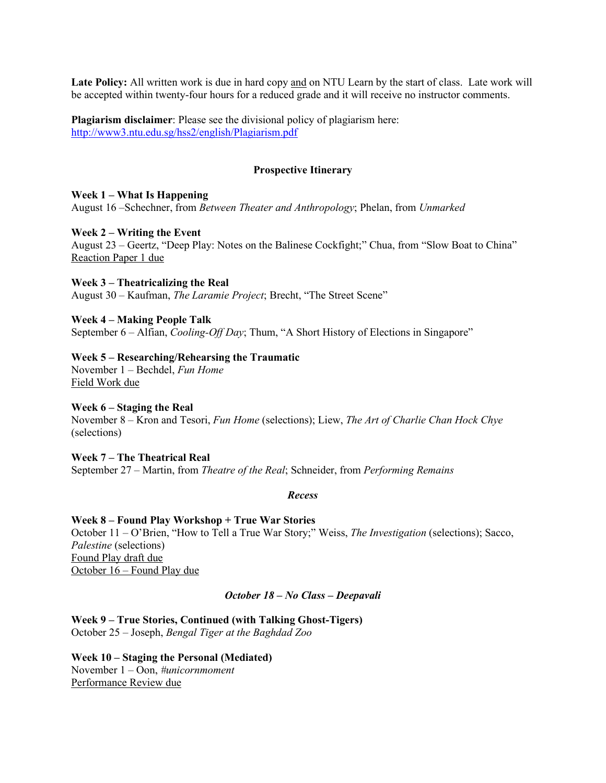**Late Policy:** All written work is due in hard copy and on NTU Learn by the start of class. Late work will be accepted within twenty-four hours for a reduced grade and it will receive no instructor comments.

**Plagiarism disclaimer**: Please see the divisional policy of plagiarism here: <http://www3.ntu.edu.sg/hss2/english/Plagiarism.pdf>

## **Prospective Itinerary**

## **Week 1 – What Is Happening**

August 16 –Schechner, from *Between Theater and Anthropology*; Phelan, from *Unmarked*

#### **Week 2 – Writing the Event**

August 23 – Geertz, "Deep Play: Notes on the Balinese Cockfight;" Chua, from "Slow Boat to China" Reaction Paper 1 due

**Week 3 – Theatricalizing the Real** August 30 – Kaufman, *The Laramie Project*; Brecht, "The Street Scene"

**Week 4 – Making People Talk** September 6 – Alfian, *Cooling-Off Day*; Thum, "A Short History of Elections in Singapore"

## **Week 5 – Researching/Rehearsing the Traumatic**

November 1 – Bechdel, *Fun Home* Field Work due

## **Week 6 – Staging the Real**

November 8 – Kron and Tesori, *Fun Home* (selections); Liew, *The Art of Charlie Chan Hock Chye* (selections)

**Week 7 – The Theatrical Real** September 27 – Martin, from *Theatre of the Real*; Schneider, from *Performing Remains*

#### *Recess*

**Week 8 – Found Play Workshop + True War Stories** October 11 – O'Brien, "How to Tell a True War Story;" Weiss, *The Investigation* (selections); Sacco, *Palestine* (selections) Found Play draft due October 16 – Found Play due

# *October 18 – No Class – Deepavali*

**Week 9 – True Stories, Continued (with Talking Ghost-Tigers)** October 25 – Joseph, *Bengal Tiger at the Baghdad Zoo*

**Week 10 – Staging the Personal (Mediated)**  November 1 – Oon, *#unicornmoment* Performance Review due